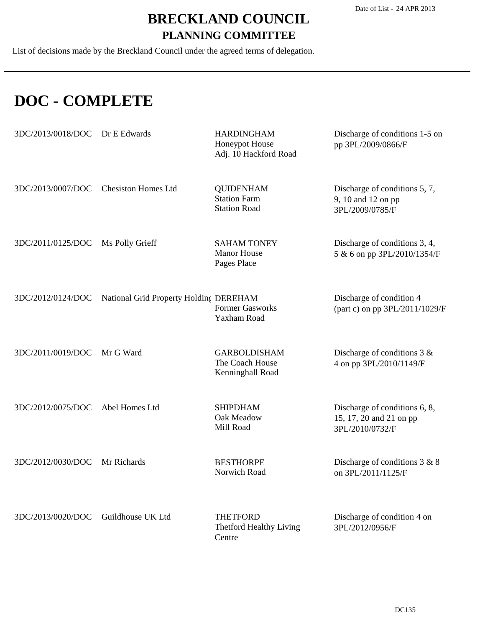List of decisions made by the Breckland Council under the agreed terms of delegation.

### **DOC - COMPLETE**

| 3DC/2013/0018/DOC | Dr E Edwards                           | <b>HARDINGHAM</b><br>Honeypot House<br>Adj. 10 Hackford Road   | Discharge of conditions 1-5 on<br>pp 3PL/2009/0866/F                        |
|-------------------|----------------------------------------|----------------------------------------------------------------|-----------------------------------------------------------------------------|
| 3DC/2013/0007/DOC | <b>Chesiston Homes Ltd</b>             | <b>QUIDENHAM</b><br><b>Station Farm</b><br><b>Station Road</b> | Discharge of conditions 5, 7,<br>9, 10 and 12 on pp<br>3PL/2009/0785/F      |
| 3DC/2011/0125/DOC | Ms Polly Grieff                        | <b>SAHAM TONEY</b><br><b>Manor House</b><br>Pages Place        | Discharge of conditions 3, 4,<br>5 & 6 on pp 3PL/2010/1354/F                |
| 3DC/2012/0124/DOC | National Grid Property Holding DEREHAM | <b>Former Gasworks</b><br><b>Yaxham Road</b>                   | Discharge of condition 4<br>(part c) on pp 3PL/2011/1029/F                  |
| 3DC/2011/0019/DOC | Mr G Ward                              | <b>GARBOLDISHAM</b><br>The Coach House<br>Kenninghall Road     | Discharge of conditions $3 &$<br>4 on pp 3PL/2010/1149/F                    |
| 3DC/2012/0075/DOC | Abel Homes Ltd                         | <b>SHIPDHAM</b><br>Oak Meadow<br>Mill Road                     | Discharge of conditions 6, 8,<br>15, 17, 20 and 21 on pp<br>3PL/2010/0732/F |
| 3DC/2012/0030/DOC | Mr Richards                            | <b>BESTHORPE</b><br>Norwich Road                               | Discharge of conditions $3 & 8$<br>on 3PL/2011/1125/F                       |
| 3DC/2013/0020/DOC | Guildhouse UK Ltd                      | <b>THETFORD</b><br>Thetford Healthy Living<br>Centre           | Discharge of condition 4 on<br>3PL/2012/0956/F                              |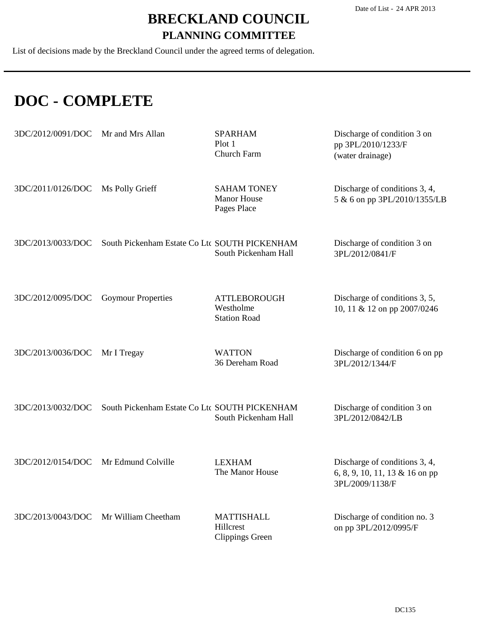List of decisions made by the Breckland Council under the agreed terms of delegation.

### **DOC - COMPLETE**

| 3DC/2012/0091/DOC | Mr and Mrs Allan                              | <b>SPARHAM</b><br>Plot 1<br>Church Farm                  | Discharge of condition 3 on<br>pp 3PL/2010/1233/F<br>(water drainage)              |
|-------------------|-----------------------------------------------|----------------------------------------------------------|------------------------------------------------------------------------------------|
| 3DC/2011/0126/DOC | Ms Polly Grieff                               | <b>SAHAM TONEY</b><br><b>Manor House</b><br>Pages Place  | Discharge of conditions 3, 4,<br>5 & 6 on pp 3PL/2010/1355/LB                      |
| 3DC/2013/0033/DOC | South Pickenham Estate Co Ltc SOUTH PICKENHAM | South Pickenham Hall                                     | Discharge of condition 3 on<br>3PL/2012/0841/F                                     |
| 3DC/2012/0095/DOC | <b>Goymour Properties</b>                     | <b>ATTLEBOROUGH</b><br>Westholme<br><b>Station Road</b>  | Discharge of conditions 3, 5,<br>10, 11 & 12 on pp 2007/0246                       |
| 3DC/2013/0036/DOC | Mr I Tregay                                   | <b>WATTON</b><br>36 Dereham Road                         | Discharge of condition 6 on pp<br>3PL/2012/1344/F                                  |
| 3DC/2013/0032/DOC | South Pickenham Estate Co Ltc SOUTH PICKENHAM | South Pickenham Hall                                     | Discharge of condition 3 on<br>3PL/2012/0842/LB                                    |
| 3DC/2012/0154/DOC | Mr Edmund Colville                            | <b>LEXHAM</b><br>The Manor House                         | Discharge of conditions 3, 4,<br>6, 8, 9, 10, 11, 13 & 16 on pp<br>3PL/2009/1138/F |
| 3DC/2013/0043/DOC | Mr William Cheetham                           | <b>MATTISHALL</b><br>Hillcrest<br><b>Clippings Green</b> | Discharge of condition no. 3<br>on pp 3PL/2012/0995/F                              |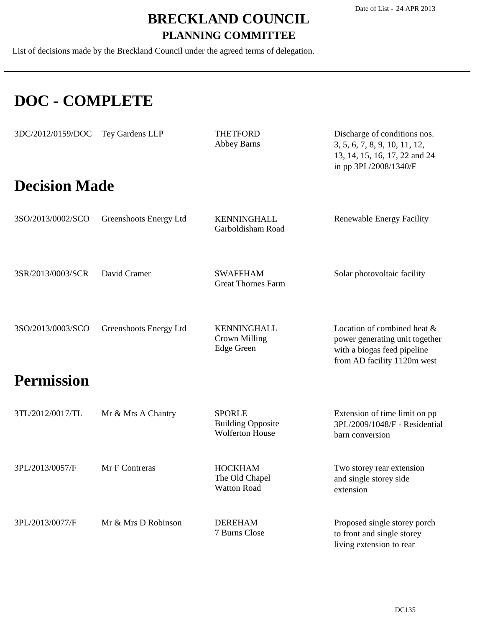List of decisions made by the Breckland Council under the agreed terms of delegation.

# **DOC - COMPLETE**

| 3DC/2012/0159/DOC    | Tey Gardens LLP        | <b>THETFORD</b><br><b>Abbey Barns</b>                               | Discharge of conditions nos.<br>3, 5, 6, 7, 8, 9, 10, 11, 12,<br>13, 14, 15, 16, 17, 22 and 24<br>in pp 3PL/2008/1340/F     |
|----------------------|------------------------|---------------------------------------------------------------------|-----------------------------------------------------------------------------------------------------------------------------|
| <b>Decision Made</b> |                        |                                                                     |                                                                                                                             |
| 3SO/2013/0002/SCO    | Greenshoots Energy Ltd | <b>KENNINGHALL</b><br>Garboldisham Road                             | Renewable Energy Facility                                                                                                   |
| 3SR/2013/0003/SCR    | David Cramer           | <b>SWAFFHAM</b><br><b>Great Thornes Farm</b>                        | Solar photovoltaic facility                                                                                                 |
| 3SO/2013/0003/SCO    | Greenshoots Energy Ltd | KENNINGHALL<br>Crown Milling<br><b>Edge Green</b>                   | Location of combined heat &<br>power generating unit together<br>with a biogas feed pipeline<br>from AD facility 1120m west |
| <b>Permission</b>    |                        |                                                                     |                                                                                                                             |
| 3TL/2012/0017/TL     | Mr & Mrs A Chantry     | <b>SPORLE</b><br><b>Building Opposite</b><br><b>Wolferton House</b> | Extension of time limit on pp<br>3PL/2009/1048/F - Residential<br>barn conversion                                           |
| 3PL/2013/0057/F      | Mr F Contreras         | <b>HOCKHAM</b><br>The Old Chapel<br><b>Watton Road</b>              | Two storey rear extension<br>and single storey side<br>extension                                                            |
| 3PL/2013/0077/F      | Mr & Mrs D Robinson    | <b>DEREHAM</b><br>7 Burns Close                                     | Proposed single storey porch<br>to front and single storey<br>living extension to rear                                      |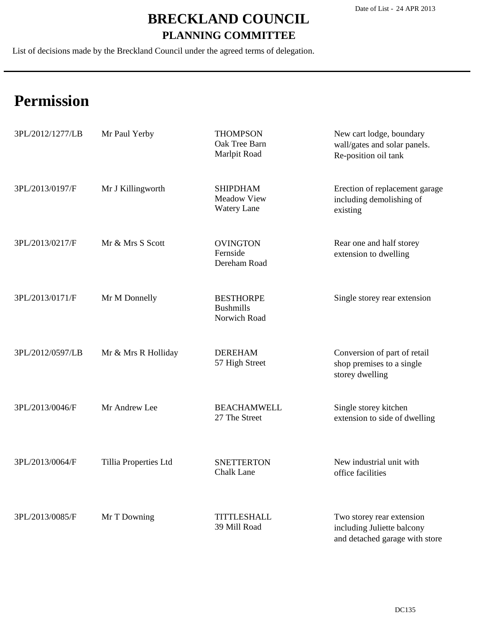List of decisions made by the Breckland Council under the agreed terms of delegation.

| 3PL/2012/1277/LB | Mr Paul Yerby         | <b>THOMPSON</b><br>Oak Tree Barn<br>Marlpit Road            | New cart lodge, boundary<br>wall/gates and solar panels.<br>Re-position oil tank          |
|------------------|-----------------------|-------------------------------------------------------------|-------------------------------------------------------------------------------------------|
| 3PL/2013/0197/F  | Mr J Killingworth     | <b>SHIPDHAM</b><br><b>Meadow View</b><br><b>Watery Lane</b> | Erection of replacement garage<br>including demolishing of<br>existing                    |
| 3PL/2013/0217/F  | Mr & Mrs S Scott      | <b>OVINGTON</b><br>Fernside<br>Dereham Road                 | Rear one and half storey<br>extension to dwelling                                         |
| 3PL/2013/0171/F  | Mr M Donnelly         | <b>BESTHORPE</b><br><b>Bushmills</b><br>Norwich Road        | Single storey rear extension                                                              |
| 3PL/2012/0597/LB | Mr & Mrs R Holliday   | <b>DEREHAM</b><br>57 High Street                            | Conversion of part of retail<br>shop premises to a single<br>storey dwelling              |
| 3PL/2013/0046/F  | Mr Andrew Lee         | <b>BEACHAMWELL</b><br>27 The Street                         | Single storey kitchen<br>extension to side of dwelling                                    |
| 3PL/2013/0064/F  | Tillia Properties Ltd | <b>SNETTERTON</b><br><b>Chalk Lane</b>                      | New industrial unit with<br>office facilities                                             |
| 3PL/2013/0085/F  | Mr T Downing          | <b>TITTLESHALL</b><br>39 Mill Road                          | Two storey rear extension<br>including Juliette balcony<br>and detached garage with store |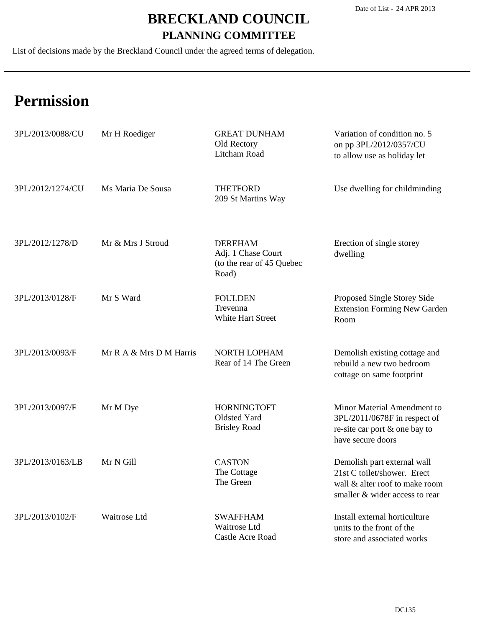List of decisions made by the Breckland Council under the agreed terms of delegation.

| 3PL/2013/0088/CU | Mr H Roediger           | <b>GREAT DUNHAM</b><br>Old Rectory<br>Litcham Road                         | Variation of condition no. 5<br>on pp 3PL/2012/0357/CU<br>to allow use as holiday let                                          |
|------------------|-------------------------|----------------------------------------------------------------------------|--------------------------------------------------------------------------------------------------------------------------------|
| 3PL/2012/1274/CU | Ms Maria De Sousa       | <b>THETFORD</b><br>209 St Martins Way                                      | Use dwelling for childminding                                                                                                  |
| 3PL/2012/1278/D  | Mr & Mrs J Stroud       | <b>DEREHAM</b><br>Adj. 1 Chase Court<br>(to the rear of 45 Quebec<br>Road) | Erection of single storey<br>dwelling                                                                                          |
| 3PL/2013/0128/F  | Mr S Ward               | <b>FOULDEN</b><br>Trevenna<br>White Hart Street                            | Proposed Single Storey Side<br><b>Extension Forming New Garden</b><br>Room                                                     |
| 3PL/2013/0093/F  | Mr R A & Mrs D M Harris | <b>NORTH LOPHAM</b><br>Rear of 14 The Green                                | Demolish existing cottage and<br>rebuild a new two bedroom<br>cottage on same footprint                                        |
| 3PL/2013/0097/F  | Mr M Dye                | <b>HORNINGTOFT</b><br>Oldsted Yard<br><b>Brisley Road</b>                  | Minor Material Amendment to<br>3PL/2011/0678F in respect of<br>re-site car port & one bay to<br>have secure doors              |
| 3PL/2013/0163/LB | Mr N Gill               | <b>CASTON</b><br>The Cottage<br>The Green                                  | Demolish part external wall<br>21st C toilet/shower. Erect<br>wall & alter roof to make room<br>smaller & wider access to rear |
| 3PL/2013/0102/F  | Waitrose Ltd            | <b>SWAFFHAM</b><br>Waitrose Ltd<br>Castle Acre Road                        | Install external horticulture<br>units to the front of the<br>store and associated works                                       |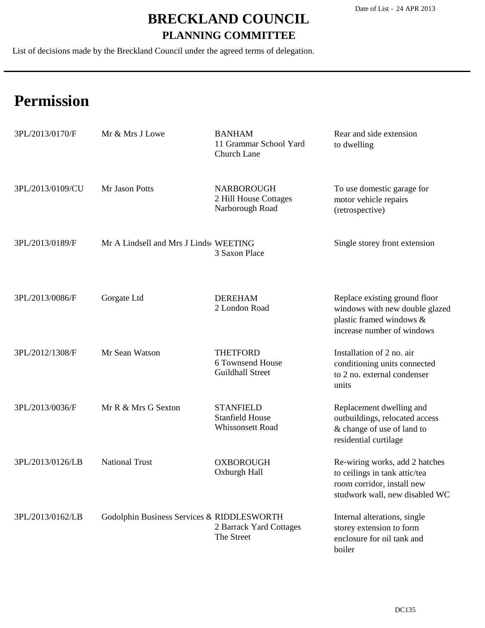List of decisions made by the Breckland Council under the agreed terms of delegation.

| 3PL/2013/0170/F  | Mr & Mrs J Lowe                            | <b>BANHAM</b><br>11 Grammar School Yard<br>Church Lane         | Rear and side extension<br>to dwelling                                                                                          |
|------------------|--------------------------------------------|----------------------------------------------------------------|---------------------------------------------------------------------------------------------------------------------------------|
| 3PL/2013/0109/CU | Mr Jason Potts                             | <b>NARBOROUGH</b><br>2 Hill House Cottages<br>Narborough Road  | To use domestic garage for<br>motor vehicle repairs<br>(retrospective)                                                          |
| 3PL/2013/0189/F  | Mr A Lindsell and Mrs J Linds WEETING      | 3 Saxon Place                                                  | Single storey front extension                                                                                                   |
| 3PL/2013/0086/F  | Gorgate Ltd                                | <b>DEREHAM</b><br>2 London Road                                | Replace existing ground floor<br>windows with new double glazed<br>plastic framed windows &<br>increase number of windows       |
| 3PL/2012/1308/F  | Mr Sean Watson                             | <b>THETFORD</b><br>6 Townsend House<br><b>Guildhall Street</b> | Installation of 2 no. air<br>conditioning units connected<br>to 2 no. external condenser<br>units                               |
| 3PL/2013/0036/F  | Mr R & Mrs G Sexton                        | <b>STANFIELD</b><br><b>Stanfield House</b><br>Whissonsett Road | Replacement dwelling and<br>outbuildings, relocated access<br>& change of use of land to<br>residential curtilage               |
| 3PL/2013/0126/LB | <b>National Trust</b>                      | <b>OXBOROUGH</b><br>Oxburgh Hall                               | Re-wiring works, add 2 hatches<br>to ceilings in tank attic/tea<br>room corridor, install new<br>studwork wall, new disabled WC |
| 3PL/2013/0162/LB | Godolphin Business Services & RIDDLESWORTH | 2 Barrack Yard Cottages<br>The Street                          | Internal alterations, single<br>storey extension to form<br>enclosure for oil tank and<br>boiler                                |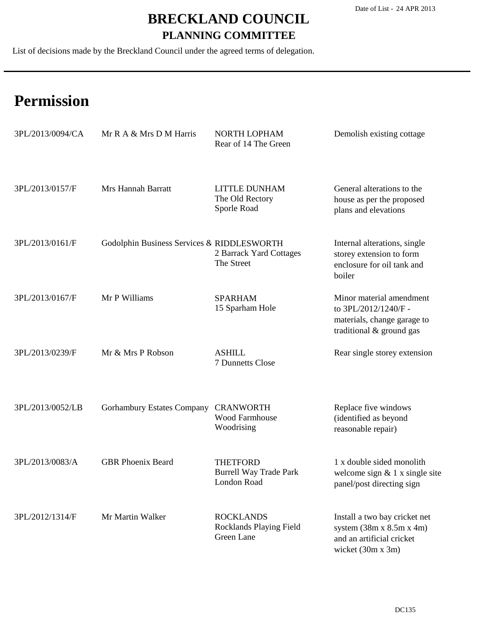List of decisions made by the Breckland Council under the agreed terms of delegation.

| 3PL/2013/0094/CA | Mr R A & Mrs D M Harris                    | NORTH LOPHAM<br>Rear of 14 The Green                            | Demolish existing cottage                                                                                               |
|------------------|--------------------------------------------|-----------------------------------------------------------------|-------------------------------------------------------------------------------------------------------------------------|
| 3PL/2013/0157/F  | Mrs Hannah Barratt                         | LITTLE DUNHAM<br>The Old Rectory<br>Sporle Road                 | General alterations to the<br>house as per the proposed<br>plans and elevations                                         |
| 3PL/2013/0161/F  | Godolphin Business Services & RIDDLESWORTH | 2 Barrack Yard Cottages<br>The Street                           | Internal alterations, single<br>storey extension to form<br>enclosure for oil tank and<br>boiler                        |
| 3PL/2013/0167/F  | Mr P Williams                              | <b>SPARHAM</b><br>15 Sparham Hole                               | Minor material amendment<br>to 3PL/2012/1240/F -<br>materials, change garage to<br>traditional & ground gas             |
| 3PL/2013/0239/F  | Mr & Mrs P Robson                          | <b>ASHILL</b><br>7 Dunnetts Close                               | Rear single storey extension                                                                                            |
| 3PL/2013/0052/LB | <b>Gorhambury Estates Company</b>          | <b>CRANWORTH</b><br>Wood Farmhouse<br>Woodrising                | Replace five windows<br>(identified as beyond<br>reasonable repair)                                                     |
| 3PL/2013/0083/A  | <b>GBR</b> Phoenix Beard                   | <b>THETFORD</b><br><b>Burrell Way Trade Park</b><br>London Road | 1 x double sided monolith<br>welcome sign $& 1 x$ single site<br>panel/post directing sign                              |
| 3PL/2012/1314/F  | Mr Martin Walker                           | <b>ROCKLANDS</b><br>Rocklands Playing Field<br>Green Lane       | Install a two bay cricket net<br>system $(38m \times 8.5m \times 4m)$<br>and an artificial cricket<br>wicket (30m x 3m) |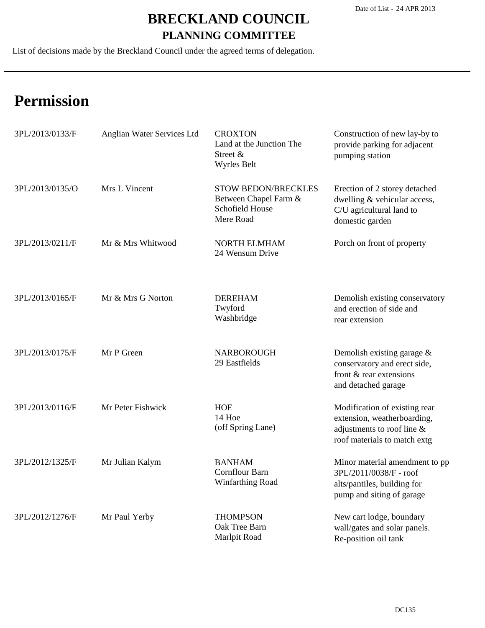List of decisions made by the Breckland Council under the agreed terms of delegation.

| 3PL/2013/0133/F | Anglian Water Services Ltd | <b>CROXTON</b><br>Land at the Junction The<br>Street &<br>Wyrles Belt               | Construction of new lay-by to<br>provide parking for adjacent<br>pumping station                                           |
|-----------------|----------------------------|-------------------------------------------------------------------------------------|----------------------------------------------------------------------------------------------------------------------------|
| 3PL/2013/0135/O | Mrs L Vincent              | <b>STOW BEDON/BRECKLES</b><br>Between Chapel Farm &<br>Schofield House<br>Mere Road | Erection of 2 storey detached<br>dwelling & vehicular access,<br>C/U agricultural land to<br>domestic garden               |
| 3PL/2013/0211/F | Mr & Mrs Whitwood          | <b>NORTH ELMHAM</b><br>24 Wensum Drive                                              | Porch on front of property                                                                                                 |
| 3PL/2013/0165/F | Mr & Mrs G Norton          | <b>DEREHAM</b><br>Twyford<br>Washbridge                                             | Demolish existing conservatory<br>and erection of side and<br>rear extension                                               |
| 3PL/2013/0175/F | Mr P Green                 | <b>NARBOROUGH</b><br>29 Eastfields                                                  | Demolish existing garage $\&$<br>conservatory and erect side,<br>front & rear extensions<br>and detached garage            |
| 3PL/2013/0116/F | Mr Peter Fishwick          | <b>HOE</b><br>14 Hoe<br>(off Spring Lane)                                           | Modification of existing rear<br>extension, weatherboarding,<br>adjustments to roof line &<br>roof materials to match extg |
| 3PL/2012/1325/F | Mr Julian Kalym            | <b>BANHAM</b><br>Cornflour Barn<br>Winfarthing Road                                 | Minor material amendment to pp<br>3PL/2011/0038/F - roof<br>alts/pantiles, building for<br>pump and siting of garage       |
| 3PL/2012/1276/F | Mr Paul Yerby              | <b>THOMPSON</b><br>Oak Tree Barn<br>Marlpit Road                                    | New cart lodge, boundary<br>wall/gates and solar panels.<br>Re-position oil tank                                           |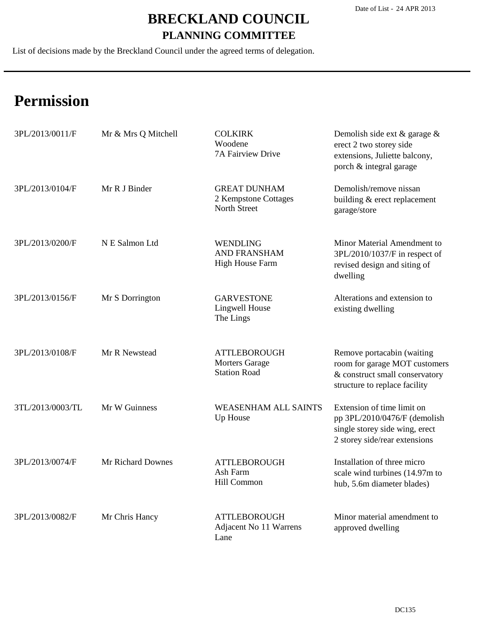List of decisions made by the Breckland Council under the agreed terms of delegation.

| 3PL/2013/0011/F  | Mr & Mrs Q Mitchell | <b>COLKIRK</b><br>Woodene<br>7A Fairview Drive                      | Demolish side ext $\&$ garage $\&$<br>erect 2 two storey side<br>extensions, Juliette balcony,<br>porch & integral garage      |
|------------------|---------------------|---------------------------------------------------------------------|--------------------------------------------------------------------------------------------------------------------------------|
| 3PL/2013/0104/F  | Mr R J Binder       | <b>GREAT DUNHAM</b><br>2 Kempstone Cottages<br>North Street         | Demolish/remove nissan<br>building & erect replacement<br>garage/store                                                         |
| 3PL/2013/0200/F  | N E Salmon Ltd      | <b>WENDLING</b><br><b>AND FRANSHAM</b><br><b>High House Farm</b>    | Minor Material Amendment to<br>3PL/2010/1037/F in respect of<br>revised design and siting of<br>dwelling                       |
| 3PL/2013/0156/F  | Mr S Dorrington     | <b>GARVESTONE</b><br>Lingwell House<br>The Lings                    | Alterations and extension to<br>existing dwelling                                                                              |
| 3PL/2013/0108/F  | Mr R Newstead       | <b>ATTLEBOROUGH</b><br><b>Morters Garage</b><br><b>Station Road</b> | Remove portacabin (waiting<br>room for garage MOT customers<br>& construct small conservatory<br>structure to replace facility |
| 3TL/2013/0003/TL | Mr W Guinness       | <b>WEASENHAM ALL SAINTS</b><br>Up House                             | Extension of time limit on<br>pp 3PL/2010/0476/F (demolish<br>single storey side wing, erect<br>2 storey side/rear extensions  |
| 3PL/2013/0074/F  | Mr Richard Downes   | <b>ATTLEBOROUGH</b><br>Ash Farm<br>Hill Common                      | Installation of three micro<br>scale wind turbines (14.97m to<br>hub, 5.6m diameter blades)                                    |
| 3PL/2013/0082/F  | Mr Chris Hancy      | <b>ATTLEBOROUGH</b><br>Adjacent No 11 Warrens<br>Lane               | Minor material amendment to<br>approved dwelling                                                                               |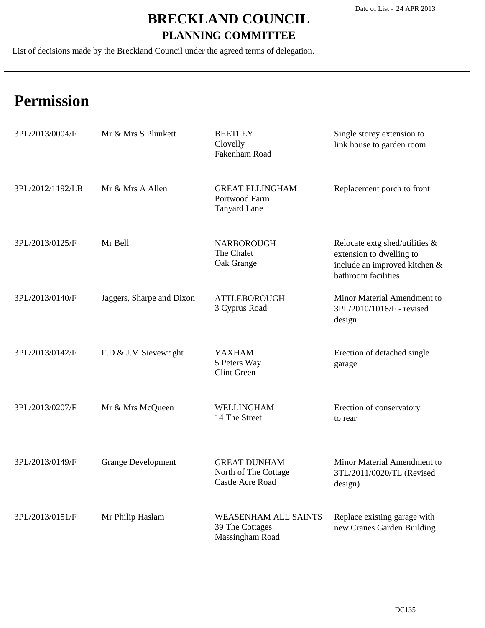List of decisions made by the Breckland Council under the agreed terms of delegation.

| 3PL/2013/0004/F  | Mr & Mrs S Plunkett       | <b>BEETLEY</b><br>Clovelly<br>Fakenham Road                       | Single storey extension to<br>link house to garden room                                                            |
|------------------|---------------------------|-------------------------------------------------------------------|--------------------------------------------------------------------------------------------------------------------|
| 3PL/2012/1192/LB | Mr & Mrs A Allen          | <b>GREAT ELLINGHAM</b><br>Portwood Farm<br><b>Tanyard Lane</b>    | Replacement porch to front                                                                                         |
| 3PL/2013/0125/F  | Mr Bell                   | <b>NARBOROUGH</b><br>The Chalet<br>Oak Grange                     | Relocate extg shed/utilities &<br>extension to dwelling to<br>include an improved kitchen &<br>bathroom facilities |
| 3PL/2013/0140/F  | Jaggers, Sharpe and Dixon | <b>ATTLEBOROUGH</b><br>3 Cyprus Road                              | Minor Material Amendment to<br>3PL/2010/1016/F - revised<br>design                                                 |
| 3PL/2013/0142/F  | F.D & J.M Sievewright     | <b>YAXHAM</b><br>5 Peters Way<br><b>Clint Green</b>               | Erection of detached single<br>garage                                                                              |
| 3PL/2013/0207/F  | Mr & Mrs McQueen          | WELLINGHAM<br>14 The Street                                       | Erection of conservatory<br>to rear                                                                                |
| 3PL/2013/0149/F  | <b>Grange Development</b> | <b>GREAT DUNHAM</b><br>North of The Cottage<br>Castle Acre Road   | Minor Material Amendment to<br>3TL/2011/0020/TL (Revised<br>design)                                                |
| 3PL/2013/0151/F  | Mr Philip Haslam          | <b>WEASENHAM ALL SAINTS</b><br>39 The Cottages<br>Massingham Road | Replace existing garage with<br>new Cranes Garden Building                                                         |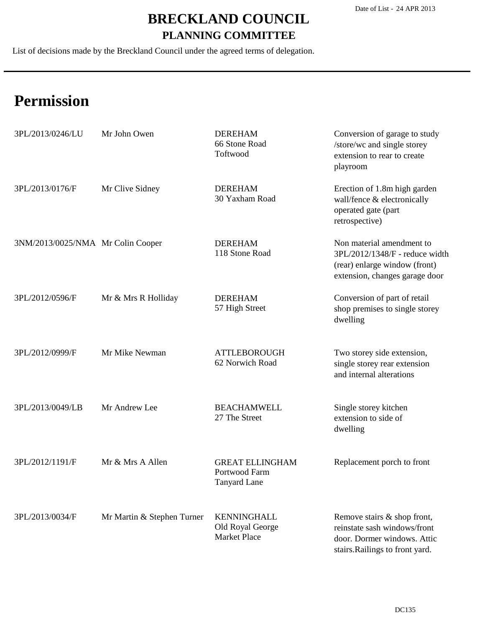List of decisions made by the Breckland Council under the agreed terms of delegation.

| 3PL/2013/0246/LU                  | Mr John Owen               | <b>DEREHAM</b><br>66 Stone Road<br>Toftwood                    | Conversion of garage to study<br>/store/wc and single storey<br>extension to rear to create<br>playroom                        |
|-----------------------------------|----------------------------|----------------------------------------------------------------|--------------------------------------------------------------------------------------------------------------------------------|
| 3PL/2013/0176/F                   | Mr Clive Sidney            | <b>DEREHAM</b><br>30 Yaxham Road                               | Erection of 1.8m high garden<br>wall/fence & electronically<br>operated gate (part<br>retrospective)                           |
| 3NM/2013/0025/NMA Mr Colin Cooper |                            | <b>DEREHAM</b><br>118 Stone Road                               | Non material amendment to<br>3PL/2012/1348/F - reduce width<br>(rear) enlarge window (front)<br>extension, changes garage door |
| 3PL/2012/0596/F                   | Mr & Mrs R Holliday        | <b>DEREHAM</b><br>57 High Street                               | Conversion of part of retail<br>shop premises to single storey<br>dwelling                                                     |
| 3PL/2012/0999/F                   | Mr Mike Newman             | <b>ATTLEBOROUGH</b><br>62 Norwich Road                         | Two storey side extension,<br>single storey rear extension<br>and internal alterations                                         |
| 3PL/2013/0049/LB                  | Mr Andrew Lee              | <b>BEACHAMWELL</b><br>27 The Street                            | Single storey kitchen<br>extension to side of<br>dwelling                                                                      |
| 3PL/2012/1191/F                   | Mr & Mrs A Allen           | <b>GREAT ELLINGHAM</b><br>Portwood Farm<br><b>Tanyard Lane</b> | Replacement porch to front                                                                                                     |
| 3PL/2013/0034/F                   | Mr Martin & Stephen Turner | <b>KENNINGHALL</b><br>Old Royal George<br><b>Market Place</b>  | Remove stairs & shop front,<br>reinstate sash windows/front<br>door. Dormer windows. Attic<br>stairs. Railings to front yard.  |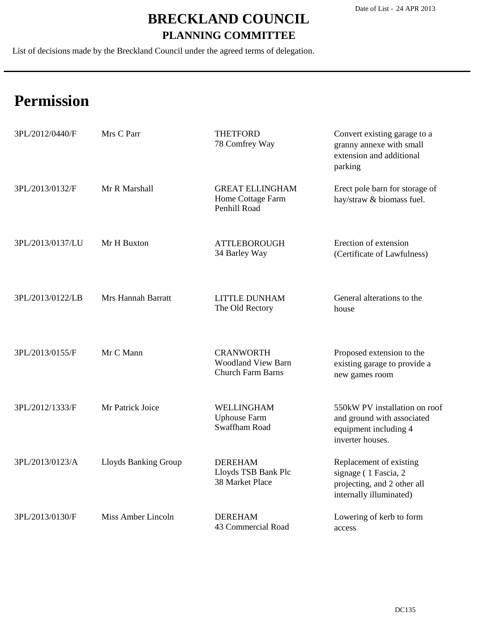List of decisions made by the Breckland Council under the agreed terms of delegation.

| 3PL/2012/0440/F  | Mrs C Parr                | <b>THETFORD</b><br>78 Comfrey Way                                         | Convert existing garage to a<br>granny annexe with small<br>extension and additional<br>parking           |
|------------------|---------------------------|---------------------------------------------------------------------------|-----------------------------------------------------------------------------------------------------------|
| 3PL/2013/0132/F  | Mr R Marshall             | <b>GREAT ELLINGHAM</b><br>Home Cottage Farm<br>Penhill Road               | Erect pole barn for storage of<br>hay/straw & biomass fuel.                                               |
| 3PL/2013/0137/LU | Mr H Buxton               | <b>ATTLEBOROUGH</b><br>34 Barley Way                                      | Erection of extension<br>(Certificate of Lawfulness)                                                      |
| 3PL/2013/0122/LB | <b>Mrs Hannah Barratt</b> | <b>LITTLE DUNHAM</b><br>The Old Rectory                                   | General alterations to the<br>house                                                                       |
| 3PL/2013/0155/F  | Mr C Mann                 | <b>CRANWORTH</b><br><b>Woodland View Barn</b><br><b>Church Farm Barns</b> | Proposed extension to the<br>existing garage to provide a<br>new games room                               |
| 3PL/2012/1333/F  | Mr Patrick Joice          | WELLINGHAM<br><b>Uphouse Farm</b><br>Swaffham Road                        | 550kW PV installation on roof<br>and ground with associated<br>equipment including 4<br>inverter houses.  |
| 3PL/2013/0123/A  | Lloyds Banking Group      | <b>DEREHAM</b><br>Lloyds TSB Bank Plc<br>38 Market Place                  | Replacement of existing<br>signage (1 Fascia, 2<br>projecting, and 2 other all<br>internally illuminated) |
| 3PL/2013/0130/F  | Miss Amber Lincoln        | <b>DEREHAM</b><br>43 Commercial Road                                      | Lowering of kerb to form<br>access                                                                        |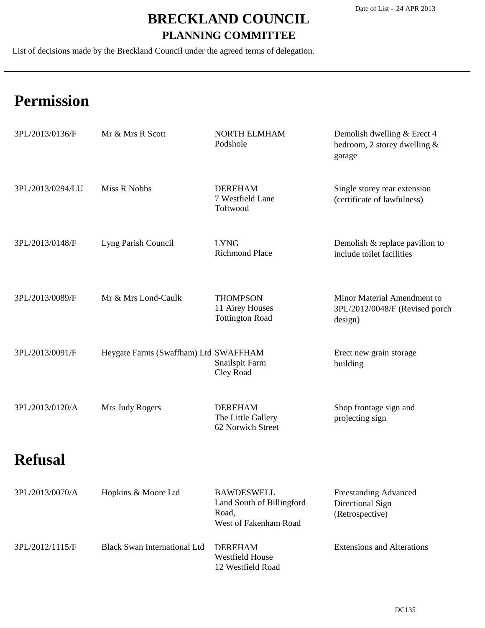List of decisions made by the Breckland Council under the agreed terms of delegation.

| 3PL/2013/0136/F  | Mr & Mrs R Scott                      | <b>NORTH ELMHAM</b><br>Podshole                                                  | Demolish dwelling & Erect 4<br>bedroom, 2 storey dwelling $&$<br>garage  |
|------------------|---------------------------------------|----------------------------------------------------------------------------------|--------------------------------------------------------------------------|
| 3PL/2013/0294/LU | Miss R Nobbs                          | <b>DEREHAM</b><br>7 Westfield Lane<br>Toftwood                                   | Single storey rear extension<br>(certificate of lawfulness)              |
| 3PL/2013/0148/F  | Lyng Parish Council                   | <b>LYNG</b><br><b>Richmond Place</b>                                             | Demolish & replace pavilion to<br>include toilet facilities              |
| 3PL/2013/0089/F  | Mr & Mrs Lond-Caulk                   | <b>THOMPSON</b><br>11 Airey Houses<br><b>Tottington Road</b>                     | Minor Material Amendment to<br>3PL/2012/0048/F (Revised porch<br>design) |
| 3PL/2013/0091/F  | Heygate Farms (Swaffham) Ltd SWAFFHAM | Snailspit Farm<br>Cley Road                                                      | Erect new grain storage<br>building                                      |
| 3PL/2013/0120/A  | Mrs Judy Rogers                       | <b>DEREHAM</b><br>The Little Gallery<br>62 Norwich Street                        | Shop frontage sign and<br>projecting sign                                |
| <b>Refusal</b>   |                                       |                                                                                  |                                                                          |
| 3PL/2013/0070/A  | Hopkins & Moore Ltd                   | <b>BAWDESWELL</b><br>Land South of Billingford<br>Road,<br>West of Fakenham Road | Freestanding Advanced<br>Directional Sign<br>(Retrospective)             |
| 3PL/2012/1115/F  | <b>Black Swan International Ltd</b>   | <b>DEREHAM</b><br><b>Westfield House</b><br>12 Westfield Road                    | <b>Extensions and Alterations</b>                                        |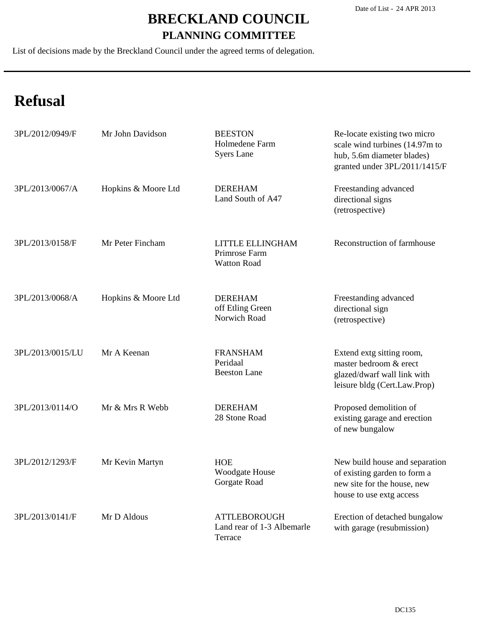List of decisions made by the Breckland Council under the agreed terms of delegation.

## **Refusal**

| 3PL/2012/0949/F  | Mr John Davidson    | <b>BEESTON</b><br>Holmedene Farm<br><b>Syers Lane</b>        | Re-locate existing two micro<br>scale wind turbines (14.97m to<br>hub, 5.6m diameter blades)<br>granted under 3PL/2011/1415/F |
|------------------|---------------------|--------------------------------------------------------------|-------------------------------------------------------------------------------------------------------------------------------|
| 3PL/2013/0067/A  | Hopkins & Moore Ltd | <b>DEREHAM</b><br>Land South of A47                          | Freestanding advanced<br>directional signs<br>(retrospective)                                                                 |
| 3PL/2013/0158/F  | Mr Peter Fincham    | LITTLE ELLINGHAM<br>Primrose Farm<br><b>Watton Road</b>      | Reconstruction of farmhouse                                                                                                   |
| 3PL/2013/0068/A  | Hopkins & Moore Ltd | <b>DEREHAM</b><br>off Etling Green<br>Norwich Road           | Freestanding advanced<br>directional sign<br>(retrospective)                                                                  |
| 3PL/2013/0015/LU | Mr A Keenan         | <b>FRANSHAM</b><br>Peridaal<br><b>Beeston Lane</b>           | Extend extg sitting room,<br>master bedroom & erect<br>glazed/dwarf wall link with<br>leisure bldg (Cert.Law.Prop)            |
| 3PL/2013/0114/O  | Mr & Mrs R Webb     | <b>DEREHAM</b><br>28 Stone Road                              | Proposed demolition of<br>existing garage and erection<br>of new bungalow                                                     |
| 3PL/2012/1293/F  | Mr Kevin Martyn     | <b>HOE</b><br>Woodgate House<br>Gorgate Road                 | New build house and separation<br>of existing garden to form a<br>new site for the house, new<br>house to use extg access     |
| 3PL/2013/0141/F  | Mr D Aldous         | <b>ATTLEBOROUGH</b><br>Land rear of 1-3 Albemarle<br>Terrace | Erection of detached bungalow<br>with garage (resubmission)                                                                   |